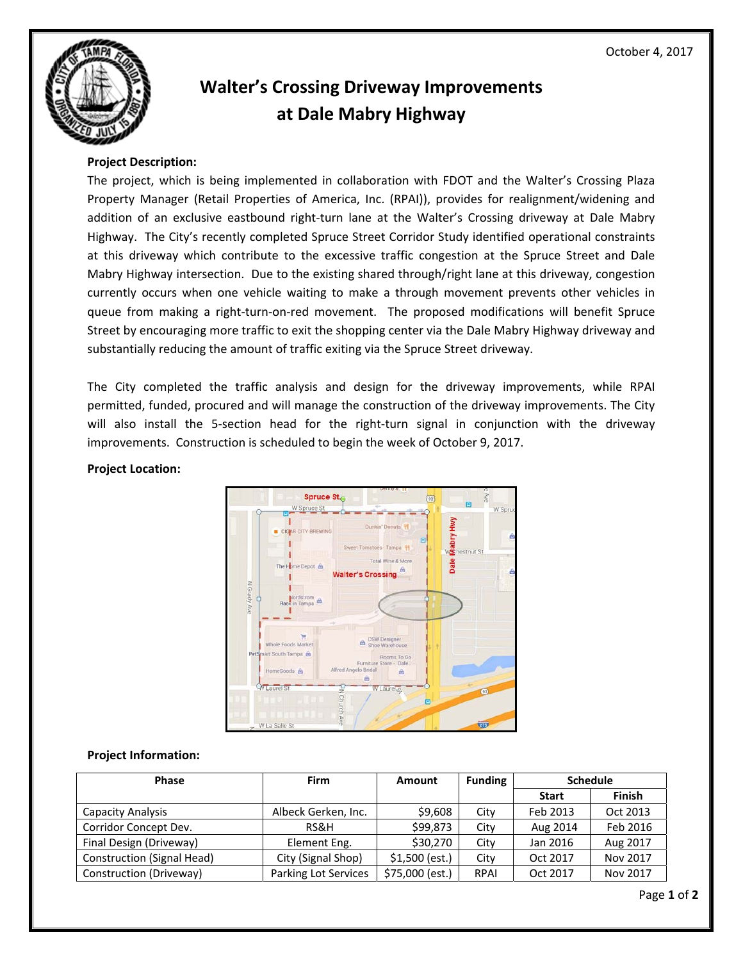

## **Walter's Crossing Driveway Improvements at Dale Mabry Highway**

## **Project Description:**

 The project, which is being implemented in collaboration with FDOT and the Walter's Crossing Plaza Property Manager (Retail Properties of America, Inc. (RPAI)), provides for realignment/widening and addition of an exclusive eastbound right‐turn lane at the Walter's Crossing driveway at Dale Mabry Highway. The City's recently completed Spruce Street Corridor Study identified operational constraints at this driveway which contribute to the excessive traffic congestion at the Spruce Street and Dale Mabry Highway intersection. Due to the existing shared through/right lane at this driveway, congestion currently occurs when one vehicle waiting to make a through movement prevents other vehicles in queue from making a right‐turn‐on‐red movement. The proposed modifications will benefit Spruce Street by encouraging more traffic to exit the shopping center via the Dale Mabry Highway driveway and substantially reducing the amount of traffic exiting via the Spruce Street driveway.

 The City completed the traffic analysis and design for the driveway improvements, while RPAI permitted, funded, procured and will manage the construction of the driveway improvements. The City will also install the 5‐section head for the right‐turn signal in conjunction with the driveway improvements. Construction is scheduled to begin the week of October 9, 2017.

## **Project Location:**



## **Project Information:**

| <b>Phase</b>                      | <b>Firm</b>          | Amount          | <b>Funding</b> | <b>Schedule</b> |               |
|-----------------------------------|----------------------|-----------------|----------------|-----------------|---------------|
|                                   |                      |                 |                | <b>Start</b>    | <b>Finish</b> |
| <b>Capacity Analysis</b>          | Albeck Gerken, Inc.  | \$9,608         | City           | Feb 2013        | Oct 2013      |
| Corridor Concept Dev.             | RS&H                 | \$99,873        | City           | Aug 2014        | Feb 2016      |
| Final Design (Driveway)           | Element Eng.         | \$30,270        | City           | Jan 2016        | Aug 2017      |
| <b>Construction (Signal Head)</b> | City (Signal Shop)   | $$1,500$ (est.) | City           | Oct 2017        | Nov 2017      |
| Construction (Driveway)           | Parking Lot Services | \$75,000 (est.) | <b>RPAI</b>    | Oct 2017        | Nov 2017      |